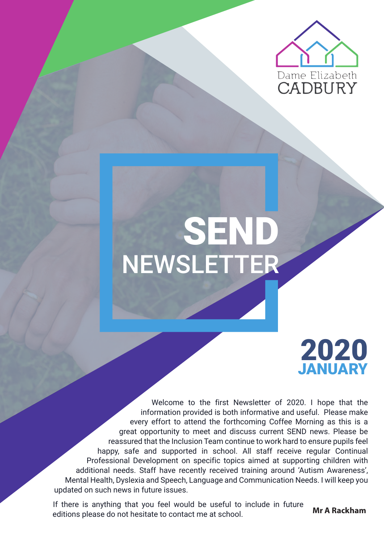

# NEWSLETTER SEND

### JANUARY 2020

Welcome to the first Newsletter of 2020. I hope that the information provided is both informative and useful. Please make every effort to attend the forthcoming Coffee Morning as this is a great opportunity to meet and discuss current SEND news. Please be reassured that the Inclusion Team continue to work hard to ensure pupils feel happy, safe and supported in school. All staff receive regular Continual Professional Development on specific topics aimed at supporting children with additional needs. Staff have recently received training around 'Autism Awareness', Mental Health, Dyslexia and Speech, Language and Communication Needs. I will keep you updated on such news in future issues.

If there is anything that you feel would be useful to include in future editions please do not hesitate to contact me at school. **Mr A Rackham**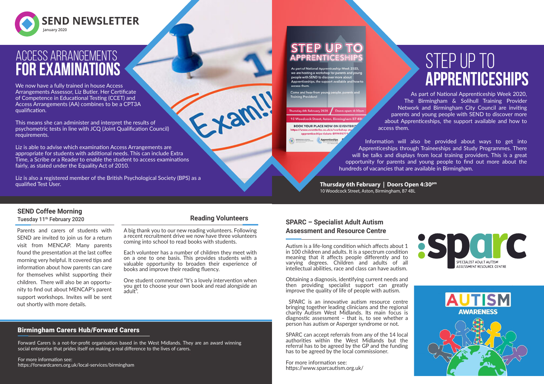

We now have a fully trained in house Access Arrangements Assessor, Liz Butler. Her Certificate of Competence in Educational Testing (CCET) and Access Arrangements (AA) combines to be a CPT3A qualification.

This means she can administer and interpret the results of psychometric tests in line with JCQ (Joint Qualification Council) requirements.

Liz is also a registered member of the British Psychological Society (BPS) as a qualified Test User.

As part of National Apprenticeship Week 2020 we are hosting a workshop for parents and you people with SEND to discover more about<br>Apprenticeships, the support available and

Come and hear from you **Training Providers** 

Thursday 6th February 2020 Doors open: 4:30p

10 Woodcock Street, Aston, Birmingham B7 4BI **BOOK YOUR PLACE NOW ON EVENTBRIT** //www.eventbrite.co.uk/e/work apprenticeships-tickets-89949077

Liz is able to advise which examination Access Arrangements are appropriate for students with additional needs. This can include Extra Time, a Scribe or a Reader to enable the student to access examinations fairly, as stated under the Equality Act of 2010.

### Access Arrangements **for examinations**

#### Birmingham Carers Hub/Forward Carers

Forward Carers is a not-for-profit organisation based in the West Midlands. They are an award winning social enterprise that prides itself on making a real difference to the lives of carers.

For more information see: https://forwardcarers.org.uk/local-services/birmingham

#### **Reading Volunteers**

tan

A big thank you to our new reading volunteers. Following a recent recruitment drive we now have three volunteers coming into school to read books with students.

## STEP UP TO **apprenticeships**





Each volunteer has a number of children they meet with on a one to one basis. This provides students with a valuable opportunity to broaden their experience of books and improve their reading fluency.

One student commented "It's a lovely intervention when you get to choose your own book and read alongside an adult".

> SPARC can accept referrals from any of the 14 local authorities within the West Midlands but the referral has to be agreed by the GP and the funding has to be agreed by the local commissioner.

Parents and carers of students with SEND are invited to join us for a return visit from MENCAP. Many parents found the presentation at the last coffee morning very helpful. It covered tips and information about how parents can care for themselves whilst supporting their children. There will also be an opportunity to find out about MENCAP's parent support workshops. Invites will be sent out shortly with more details.

#### **SEND Coffee Morning**

Tuesday 11<sup>th</sup> February 2020

As part of National Apprenticeship Week 2020, The Birmingham & Solihull Training Provider Network and Birmingham City Council are inviting parents and young people with SEND to discover more about Apprenticeships, the support available and how to access them.

Information will also be provided about ways to get into Apprenticeships through Traineeships and Study Programmes. There will be talks and displays from local training providers. This is a great opportunity for parents and young people to find out more about the hundreds of vacancies that are available in Birmingham.

Autism is a life-long condition which affects about 1 in 100 children and adults. It is a spectrum condition meaning that it affects people differently and to varying degrees. Children and adults of all intellectual abilities, race and class can have autism.

Obtaining a diagnosis, identifying current needs and then providing specialist support can greatly improve the quality of life of people with autism.

 SPARC is an innovative autism resource centre bringing together leading clinicians and the regional charity Autism West Midlands. Its main focus is diagnostic assessment  $-$  that is, to see whether a person has autism or Asperger syndrome or not.

For more information see: https://www.sparcautism.org.uk/

**SPARC – Specialist Adult Autism**

### **Assessment and Resource Centre**

**Thursday 6th February | Doors Open 4:30pm** 10 Woodcock Street, Aston, Birmingham, B7 4BL